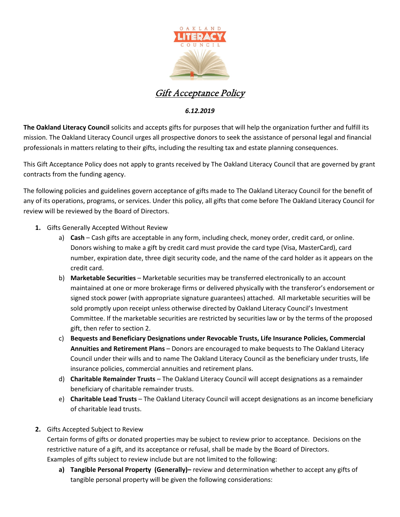

Gift Acceptance Policy

## *6.12.2019*

**The Oakland Literacy Council** solicits and accepts gifts for purposes that will help the organization further and fulfill its mission. The Oakland Literacy Council urges all prospective donors to seek the assistance of personal legal and financial professionals in matters relating to their gifts, including the resulting tax and estate planning consequences.

This Gift Acceptance Policy does not apply to grants received by The Oakland Literacy Council that are governed by grant contracts from the funding agency.

The following policies and guidelines govern acceptance of gifts made to The Oakland Literacy Council for the benefit of any of its operations, programs, or services. Under this policy, all gifts that come before The Oakland Literacy Council for review will be reviewed by the Board of Directors.

- **1.** Gifts Generally Accepted Without Review
	- a) **Cash** Cash gifts are acceptable in any form, including check, money order, credit card, or online. Donors wishing to make a gift by credit card must provide the card type (Visa, MasterCard), card number, expiration date, three digit security code, and the name of the card holder as it appears on the credit card.
	- b) **Marketable Securities** Marketable securities may be transferred electronically to an account maintained at one or more brokerage firms or delivered physically with the transferor's endorsement or signed stock power (with appropriate signature guarantees) attached. All marketable securities will be sold promptly upon receipt unless otherwise directed by Oakland Literacy Council's Investment Committee. If the marketable securities are restricted by securities law or by the terms of the proposed gift, then refer to section 2.
	- c) **Bequests and Beneficiary Designations under Revocable Trusts, Life Insurance Policies, Commercial Annuities and Retirement Plans** – Donors are encouraged to make bequests to The Oakland Literacy Council under their wills and to name The Oakland Literacy Council as the beneficiary under trusts, life insurance policies, commercial annuities and retirement plans.
	- d) **Charitable Remainder Trusts**  The Oakland Literacy Council will accept designations as a remainder beneficiary of charitable remainder trusts.
	- e) **Charitable Lead Trusts**  The Oakland Literacy Council will accept designations as an income beneficiary of charitable lead trusts.
- **2.** Gifts Accepted Subject to Review

Certain forms of gifts or donated properties may be subject to review prior to acceptance. Decisions on the restrictive nature of a gift, and its acceptance or refusal, shall be made by the Board of Directors. Examples of gifts subject to review include but are not limited to the following:

**a) Tangible Personal Property (Generally)–** review and determination whether to accept any gifts of tangible personal property will be given the following considerations: